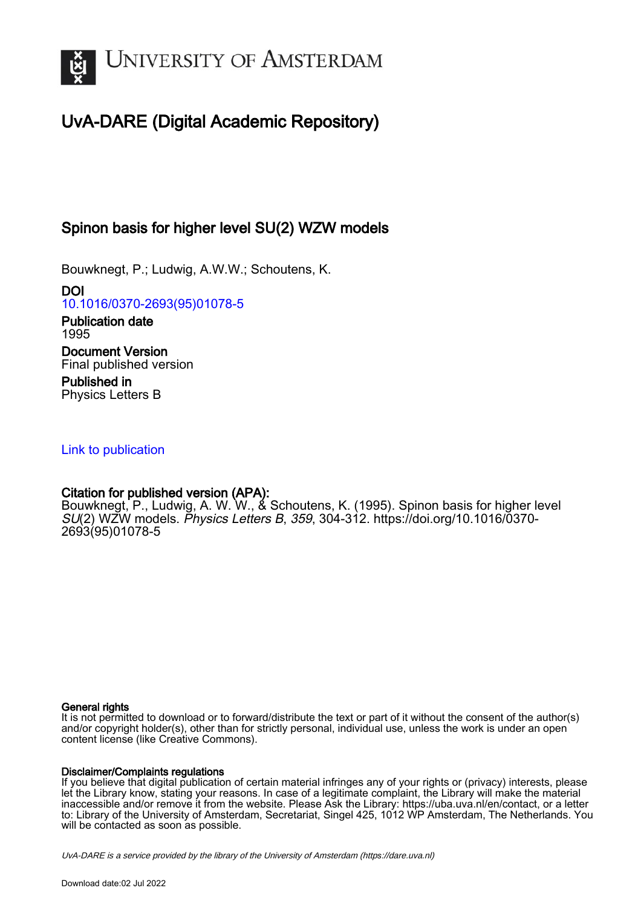

# UvA-DARE (Digital Academic Repository)

## Spinon basis for higher level SU(2) WZW models

Bouwknegt, P.; Ludwig, A.W.W.; Schoutens, K.

DOI [10.1016/0370-2693\(95\)01078-5](https://doi.org/10.1016/0370-2693(95)01078-5)

Publication date 1995 Document Version Final published version

Published in Physics Letters B

### [Link to publication](https://dare.uva.nl/personal/pure/en/publications/spinon-basis-for-higher-level-su2-wzw-models(0f826dfc-6240-4a6a-935b-56eb4ac5ed07).html)

## Citation for published version (APA):

Bouwknegt, P., Ludwig, A. W. W., & Schoutens, K. (1995). Spinon basis for higher level SU(2) WZW models. Physics Letters B, 359, 304-312. [https://doi.org/10.1016/0370-](https://doi.org/10.1016/0370-2693(95)01078-5) [2693\(95\)01078-5](https://doi.org/10.1016/0370-2693(95)01078-5)

#### General rights

It is not permitted to download or to forward/distribute the text or part of it without the consent of the author(s) and/or copyright holder(s), other than for strictly personal, individual use, unless the work is under an open content license (like Creative Commons).

#### Disclaimer/Complaints regulations

If you believe that digital publication of certain material infringes any of your rights or (privacy) interests, please let the Library know, stating your reasons. In case of a legitimate complaint, the Library will make the material inaccessible and/or remove it from the website. Please Ask the Library: https://uba.uva.nl/en/contact, or a letter to: Library of the University of Amsterdam, Secretariat, Singel 425, 1012 WP Amsterdam, The Netherlands. You will be contacted as soon as possible.

UvA-DARE is a service provided by the library of the University of Amsterdam (http*s*://dare.uva.nl)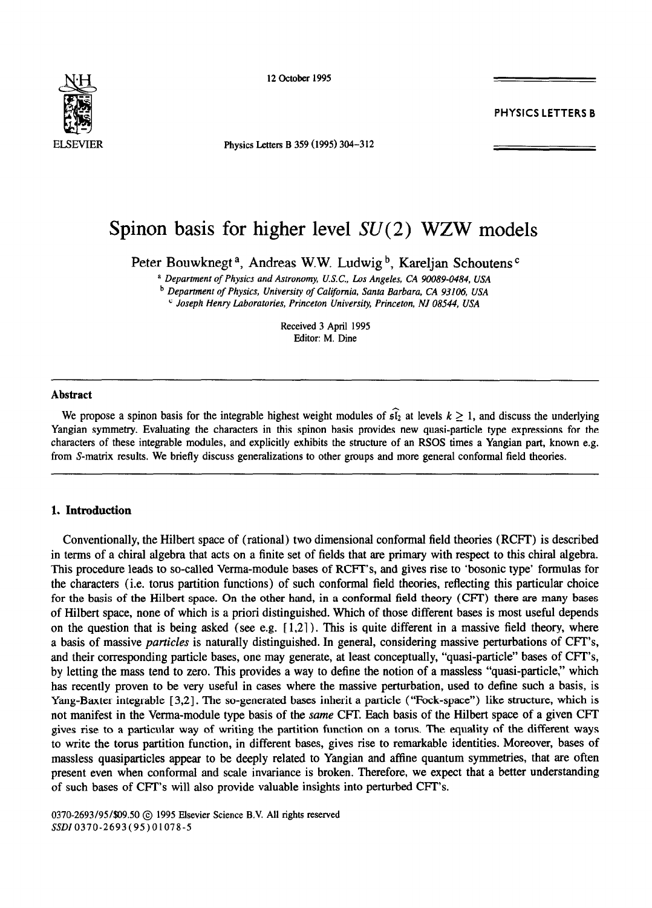

12 October 1995

Physics Letters B **359 (1995) 304-312** 

**PHYSICS LETTERS B** 

## Spinon basis for higher level  $SU(2)$  WZW models

Peter Bouwknegt<sup>a</sup>, Andreas W.W. Ludwig<sup>b</sup>, Kareljan Schoutens<sup>c</sup>

a *Department of Physics and Astronomy, USC., Los Angeles, CA 90089-0484, USA* 

<sup>*b</sup> Department of Physics, University of California, Santa Barbara, CA 93106, USA*</sup>

*' Joseph Henry Laboratories, Princeton Vniversily Princeton, NJ 08544, USA* 

Received 3 April 1995 Editor: M. Dine

#### **Abstract**

We propose a spinon basis for the integrable highest weight modules of  $s\hat{i}_2$  at levels  $k \ge 1$ , and discuss the underlying Yangian symmetry. Evaluating the characters in this spinon basis provides new quasi-particle type expressions for the characters of these integrable modules, and explicitly exhibits the structure of an RSOS times a Yangian part, known e.g. from S-matrix results. We briefly discuss generalizations to other groups and more general conformal field theories.

#### **1. Introduction**

Conventionally, the Hilbert space of (rational) two dimensional conformal field theories (RCIT) is described in terms of a chiral algebra that acts on a finite set of fields that are primary with respect to this chiral algebra. This procedure leads to so-called Verma-module bases of RCFT's, and gives rise to 'bosonic type' formulas for the characters (i.e. torus partition functions) of such conformal field theories, reflecting this particular choice for the basis of the Hilbert space. On the other hand, in a conformal field theory (CFT) there are many bases of Hilbert space, none of which is a priori distinguished. Which of those different bases is most useful depends on the question that is being asked (see e.g.  $[1,2]$ ). This is quite different in a massive field theory, where a basis of massive *particles* is naturally distinguished. In general, considering massive perturbations of CFT's, and their corresponding particle bases, one may generate, at least conceptually, "quasi-particle" bases of CFT's, by letting the mass tend to zero. This provides a way to define the notion of a massless "quasi-particle," which has recently proven to be very useful in cases where the massive perturbation, used to define such a basis, is Yang-Baxter integrable [3,2]. The so-generated bases inherit a particle ("Fock-space") like structure, which is not manifest in the Verma-module type basis of the *same CFT.* Each basis of the Hilbert space of a given CFT gives rise to a particular way of writing the partition function on a torus. The equality of the different ways to write the torus partition function, in different bases, gives rise to remarkable identities. Moreover, bases of massless quasiparticles appear to be deeply related to Yangian and affine quantum symmetries, that are often present even when conformal and scale invariance is broken. Therefore, we expect that a better understanding of such bases of CFT's will also provide valuable insights into perturbed CFT's.

0370-2693/95/\$09.50 @ 1995 Elsevier Science B.V. All rights reserved SSDIO370-2693(95)01078-5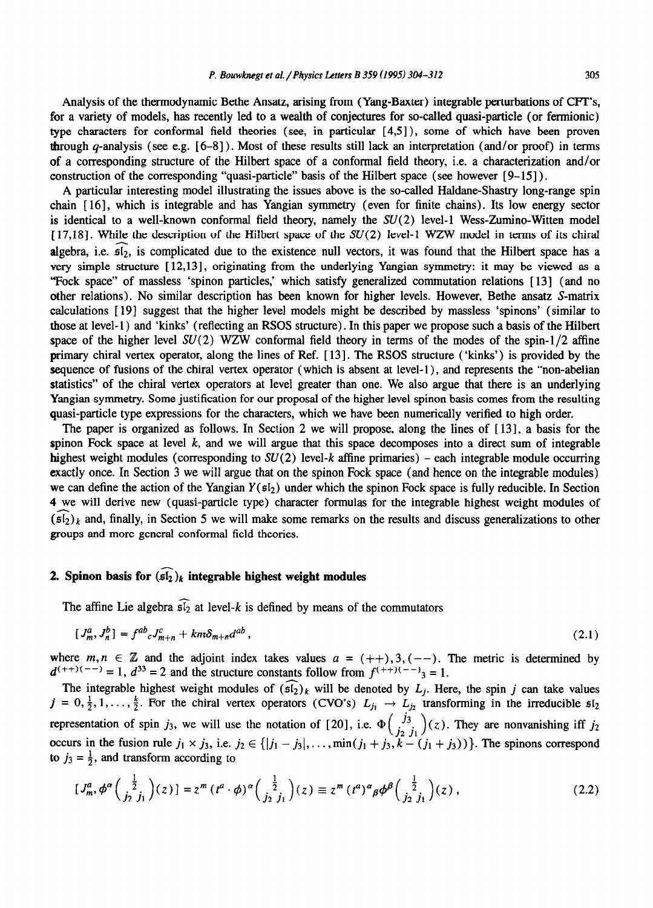Analysis of the thermodynamic Bethe Ansatz, arising from (Yang-Baxter) integrable perturbations of CRT's, for a variety of models, has recently led to a wealth of conjectures for so-called quasi-particle (or fermionic) type characters for conformal field theories (see, in particular [4,5] ), some of which have been proven through q-analysis (see e.g.  $[6-8]$ ). Most of these results still lack an interpretation (and/or proof) in terms of a corresponding structure of the Hilbert space of a conformal field theory, i.e. a characterization and/or construction of the corresponding "quasi-particle" basis of the Hilbert space (see however  $[9-15]$ ).

A particular interesting model illustrating the issues above is the so-called Haldane-Shastry long-range spin chain [ 161, which is integrable and has Yangian symmetry (even for finite chains). Its low energy sector is identical to a well-known conformal field theory, namely the  $SU(2)$  level-1 Wess-Zumino-Witten model [17,18]. While the description of the Hilbert space of the  $SU(2)$  level-1 WZW model in terms of its chiral algebra, i.e.  $\widehat{\mathfrak{sl}_2}$ , is complicated due to the existence null vectors, it was found that the Hilbert space has a very simple structure [ 12,131, originating from the underlying Yangian symmetry: it may be viewed as a "Fock space" of massless 'spinon particles,' which satisfy generalized commutation relations [ 131 (and no other relations). No similar description has been known for higher levels. However, Bethe ansatz S-matrix calculations [ 191 suggest that the higher level models might be described by massless 'spinons' (similar to those at level- 1) and 'kinks' (reflecting an RSOS structure). In this paper we propose such a basis of the Hilbert space of the higher level  $SU(2)$  WZW conformal field theory in terms of the modes of the spin-1/2 affine primary chiral vertex operator, along the lines of Ref. [ 131. *The* RSOS structure ('kinks') is provided by the sequence of fusions of the chiral vertex operator (which is absent at level-1), and represents the "non-abelian statistics" of the chiral vertex operators at level greater than one. We also argue that there is an underlying Yangian symmetry. Some justification for our proposal of the higher level spinon basis comes from the resulting quasi-particle type expressions for the characters, which we have been numerically verified to high order.

The paper is organized as follows. In Section 2 we will propose, along the lines of [13], a basis for the spinon Fock space at level *k*, and we will argue that this space decomposes into a direct sum of integrable highest weight modules (corresponding to  $SU(2)$  level-k affine primaries) – each integrable module occurring exactly once. In Section 3 we will argue that on the spinon Fock space (and hence on the integrable modules) we can define the action of the Yangian  $Y(\mathfrak{sl}_2)$  under which the spinon Fock space is fully reducible. In Section 4 we will derive new (quasi-particle type) character formulas for the integrable highest weight modules of  $(\overline{\mathfrak{sl}_2})_k$  and, finally, in Section 5 we will make some remarks on the results and discuss generalizations to other groups and more general conformal field theories.

### 2. Spinon basis for  $(\widehat{\mathfrak{sl}_2})_k$  integrable highest weight modules

The affine Lie algebra  $\widehat{\mathfrak{sl}_2}$  at level-k is defined by means of the commutators

$$
[J_m^a, J_n^b] = f^{ab}{}_c J_{m+n}^c + km \delta_{m+n} d^{ab} \,, \tag{2.1}
$$

where  $m, n \in \mathbb{Z}$  and the adjoint index takes values  $a = (++), 3, (--)$ . The metric is determined by  $d^{(i+j)(-i)} = 1$ ,  $d^{(i)} = 2$  and the structure constants follow from  $f^{(i+j)(-i)} = 1$ .

The integrable highest weight modules of  $(\widehat{\mathfrak{sl}_2})_k$  will be denoted by  $L_j$ . Here, the spin j can take values  $j = 0, \frac{1}{2}, 1, \ldots, \frac{k}{2}$ . For the chiral vertex operators (CVO's)  $L_{j_1} \to L_{j_2}$  transforming in the irreducible  $\mathfrak{sl}_2$ representation of spin  $j_3$ , we will use the notation of [20], i.e.  $\Phi\left(\frac{J_3}{j_2j_1}\right)(z)$ . They are nonvanishing iff  $j_2$ occurs in the fusion rule  $j_1 \times j_3$ , i.e.  $j_2 \in \{ |j_1 - j_3|, \ldots, \min(j_1 + j_3, k - (j_1 + j_3)) \}$ . The spinons correspond to  $j_3 = \frac{1}{2}$ , and transform according to

$$
[J_m^a, \phi^{\alpha}\left(\frac{1}{j_2\ j_1}\right)(z)] = z^m (t^a \cdot \phi)^{\alpha}\left(\frac{1}{j_2\ j_1}\right)(z) \equiv z^m (t^a)^{\alpha}{}_{\beta}\phi^{\beta}\left(\frac{1}{j_2\ j_1}\right)(z) \,, \tag{2.2}
$$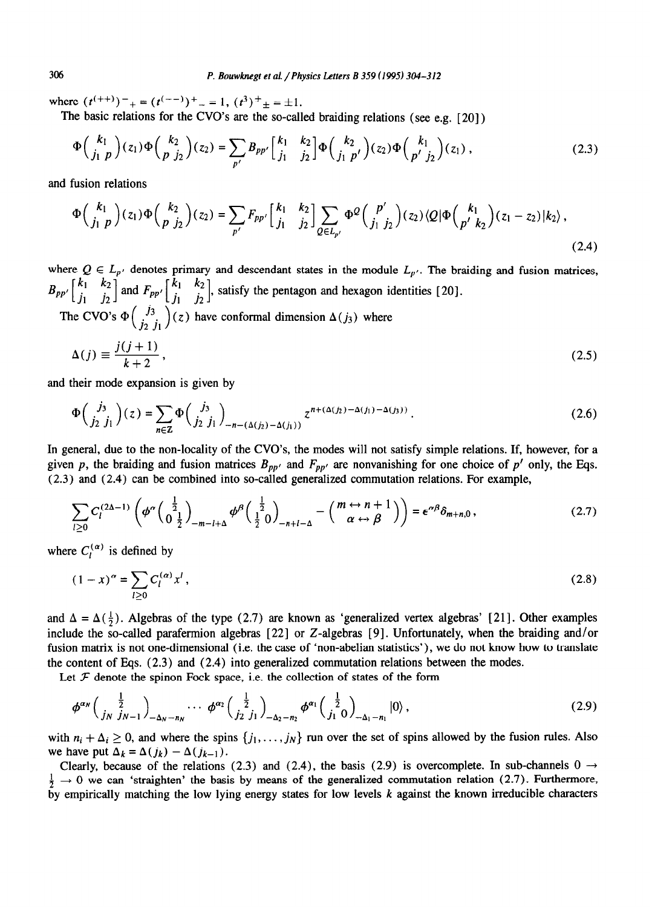where  $(t^{(++)})^-$  + =  $(t^{(--)})^+$  - = 1,  $(t^3)^{\pm}$  + =  $\pm 1$ .

The basic relations for the CVO's are the so-called braiding relations (see e.g. [ 201)

$$
\Phi\left(\begin{array}{c}k_1\\j_1\ p\end{array}\right)(z_1)\Phi\left(\begin{array}{c}k_2\\p\ j_2\end{array}\right)(z_2)=\sum_{p'}B_{pp'}\left[\begin{array}{cc}k_1&k_2\\j_1\ j_2\end{array}\right]\Phi\left(\begin{array}{c}k_2\\j_1\ p'\end{array}\right)(z_2)\Phi\left(\begin{array}{c}k_1\\p'\ j_2\end{array}\right)(z_1)\,,\tag{2.3}
$$

and fusion relations

$$
\Phi\Big(\frac{k_1}{j_1 p}\Big)(z_1)\Phi\Big(\frac{k_2}{p\ j_2}\Big)(z_2) = \sum_{p'} F_{pp'} \Big[\frac{k_1}{j_1} \frac{k_2}{j_2}\Big] \sum_{Q \in L_{p'}} \Phi^Q\Big(\frac{p'}{j_1\ j_2}\Big)(z_2)\langle Q|\Phi\Big(\frac{k_1}{p'\ k_2}\Big)(z_1 - z_2)|k_2\rangle\,,\tag{2.4}
$$

where  $Q \in L_{p'}$  denotes primary and descendant states in the module  $L_{p'}$ . The braiding and fusion matrices,  $B_{pp'}\begin{bmatrix}k_1&k_2\\j_1&j_2\end{bmatrix}$  and  $F_{pp'}\begin{bmatrix}k_1&k_2\\j_1&j_2\end{bmatrix}$ , satisfy the pentagon and hexagon identities [20].

The CVO's  $\Phi\left(\begin{array}{cc}J_2\\j_2\end{array}j_1\right)(z)$  have conformal dimension  $\Delta(j_3)$  where

$$
\Delta(j) \equiv \frac{j(j+1)}{k+2},\tag{2.5}
$$

and their mode expansion is given by

$$
\Phi\left(\begin{array}{c}j_{3}\\j_{2}\end{array}\right)(z)=\sum_{n\in\mathbb{Z}}\Phi\left(\begin{array}{c}j_{3}\\j_{2}\end{array}\right)_{-n-(\Delta(j_{2})-\Delta(j_{1}))}z^{n+(\Delta(j_{2})-\Delta(j_{1})-\Delta(j_{3}))}.
$$
\n(2.6)

In general, due to the non-locality of the CVO's, the modes will not satisfy simple relations. If, however, for a given *p*, the braiding and fusion matrices  $B_{pp'}$  and  $F_{pp'}$  are nonvanishing for one choice of  $p'$  only, the Eqs. (2.3) and (2.4) can be combined into so-called generalized commutation relations. For example,

$$
\sum_{l\geq 0} C_l^{(2\Delta-1)} \left( \phi^{\alpha} \left( \frac{\frac{1}{2}}{0 \cdot \frac{1}{2}} \right)_{-m-l+\Delta} \phi^{\beta} \left( \frac{\frac{1}{2}}{0 \cdot \frac{1}{2}} \right)_{-n+l-\Delta} - \left( \frac{m \leftrightarrow n+1}{\alpha \leftrightarrow \beta} \right) \right) = \epsilon^{\alpha\beta} \delta_{m+n,0} , \qquad (2.7)
$$

where  $C_l^{(\alpha)}$  is defined by

$$
(1-x)^{\alpha} = \sum_{l \ge 0} C_l^{(\alpha)} x^l,
$$
\n(2.8)

and  $\Delta = \Delta(\frac{1}{2})$ . Algebras of the type (2.7) are known as 'generalized vertex algebras' [21]. Other examples include the so-called parafermion algebras [ 221 or Z-algebras [ 91. Unfortunately, when the braiding and/or fusion matrix is not one-dimensional (i.e. the case of 'non-abelian statistics'), we do not know how to translate the content of Eqs. (2.3) and (2.4) into generalized commutation relations between the modes.

Let  $\mathcal F$  denote the spinon Fock space, i.e. the collection of states of the form

$$
\phi^{\alpha_N} \left( \frac{1}{j_N} \right)_{j_{N-1}} \Big|_{-\Delta_N - n_N} \cdots \phi^{\alpha_2} \left( \frac{1}{j_2} \right)_{j_1} \Big|_{-\Delta_2 - n_2} \phi^{\alpha_1} \left( \frac{1}{j_1} \right)_{-\Delta_1 - n_1} |0\rangle , \tag{2.9}
$$

with  $n_i + \Delta_i \ge 0$ , and where the spins  $\{j_1, \ldots, j_N\}$  run over the set of spins allowed by the fusion rules. Also we have put  $\Delta_k = \Delta(j_k) - \Delta(j_{k-1}).$ 

Clearly, because of the relations (2.3) and (2.4), the basis (2.9) is overcomplete. In sub-channels  $0 \rightarrow$  $\frac{1}{2} \rightarrow 0$  we can 'straighten' the basis by means of the generalized commutation relation (2.7). Furthermore, by empirically matching the low lying energy states for low levels *k* against the known irreducible characters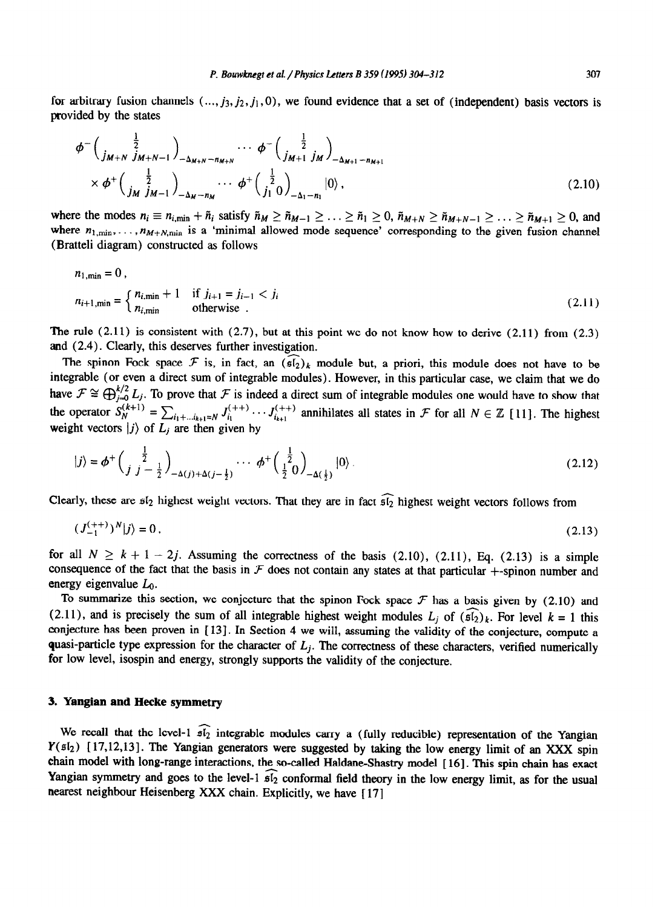for arbitrary fusion channels  $(..., j_3, j_2, j_1, 0)$ , we found evidence that a set of (independent) basis vectors is provided by the states

$$
\phi^{-}\left(\frac{\frac{1}{2}}{j_{M+N}j_{M+N-1}}\right)_{-\Delta_{M+N}-n_{M+N}} \cdots \phi^{-}\left(\frac{\frac{1}{2}}{j_{M+1}j_M}\right)_{-\Delta_{M+1}-n_{M+1}} \times \phi^{+}\left(\frac{\frac{1}{2}}{j_Mj_{M-1}}\right)_{-\Delta_{M}-n_M} \cdots \phi^{+}\left(\frac{\frac{1}{2}}{j_1}0\right)_{-\Delta_{1}-n_1} |0\rangle, \qquad (2.10)
$$

where the modes  $n_i \equiv n_{i,\text{min}} + \tilde{n}_i$  satisfy  $\tilde{n}_M \ge \tilde{n}_{M-1} \ge \ldots \ge \tilde{n}_1 \ge 0$ ,  $\tilde{n}_{M+N} \ge \tilde{n}_{M+N-1} \ge \ldots \ge \tilde{n}_{M+1} \ge 0$ , and where  $n_{1,\min}, \ldots, n_{M+N,\min}$  is a 'minimal allowed mode sequence' corresponding to the given fusion channel (Bratteli diagram) constructed as follows

$$
n_{1,min} = 0,
$$
  
\n
$$
n_{i+1,min} = \begin{cases} n_{i,min} + 1 & \text{if } j_{i+1} = j_{i-1} < j_i \\ n_{i,min} & \text{otherwise} \end{cases}
$$
 (2.11)

The rule  $(2.11)$  is consistent with  $(2.7)$ , but at this point we do not know how to derive  $(2.11)$  from  $(2.3)$ and (2.4). Clearly, this deserves further investigation.

The spinon Fock space F is, in fact, an  $(\mathfrak{sl}_2)_k$  module but, a priori, this module does not have to be integrable (or even a direct sum of integrable modules). However, in this particular case, we claim that we do have  $\mathcal{F} \cong \bigoplus_{j=0}^{k/2} L_j$ . To prove that  $\mathcal F$  is indeed a direct sum of integrable modules one would have to show that the operator  $S_N^{(k+1)} = \sum_{i_1 + \ldots i_{k+1} = N} J_{i_1}^{(t+1)} \cdots J_{i_{k+1}}^{(t+1)}$  annihilates all states in  $\mathcal F$  for all  $N \in \mathbb Z$  [11]. The highest weight vectors  $|j\rangle$  of  $L_j$  are then given by

$$
|j\rangle = \phi^+ \left(\frac{\frac{1}{2}}{j} \frac{1}{-\frac{1}{2}}\right)_{-\Delta(j)+\Delta(j-\frac{1}{2})} \cdots \phi^+ \left(\frac{\frac{1}{2}}{2} 0\right)_{-\Delta(\frac{1}{2})} |0\rangle.
$$
 (2.12)

Clearly, these are  $sI_2$  highest weight vectors. That they are in fact  $\widehat{sI_2}$  highest weight vectors follows from

$$
(J_{-1}^{(++)})^N|j\rangle = 0\,,\tag{2.13}
$$

for all  $N \ge k + 1 - 2j$ . Assuming the correctness of the basis (2.10), (2.11), Eq. (2.13) is a simple consequence of the fact that the basis in  $\mathcal F$  does not contain any states at that particular +-spinon number and energy eigenvalue  $L_0$ .

To summarize this section, we conjecture that the spinon Fock space  $\mathcal F$  has a basis given by (2.10) and (2.11), and is precisely the sum of all integrable highest weight modules  $L_j$  of  $(\widehat{\mathfrak{sl}_2})_k$ . For level  $k = 1$  this conjecture has been proven in [13]. In Section 4 we will, assuming the validity of the conjecture, compute a quasi-particle type expression for the character of *Lj. The* correctness of these characters, verified numerically for low level, isospin and energy, strongly supports the validity of the conjecture.

#### 3. **Yangian and Hecke symmetry**

We recall that the level-1  $\widehat{\mathfrak{sl}_2}$  integrable modules carry a (fully reducible) representation of the Yangian  $Y(5I_2)$  [17,12,13]. The Yangian generators were suggested by taking the low energy limit of an XXX spin chain model with long-range interactions, the so-called Haldane-Shastry model [ 161. This spin chain has exact Yangian symmetry and goes to the level-1  $\widehat{\mathfrak{sl}_2}$  conformal field theory in the low energy limit, as for the usual nearest neighbour Heisenberg XXX chain. Explicitly, we have [17]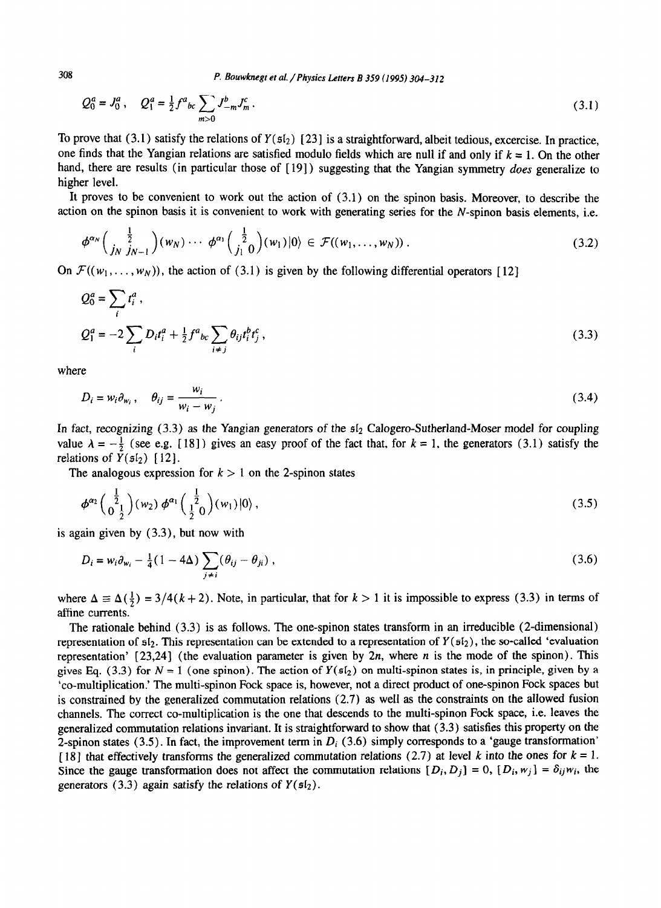*308 P. Bouwknegt et al. /Physics Letters B 359 (1995) 304-312* 

$$
Q_0^a = J_0^a, \quad Q_1^a = \frac{1}{2} f^a{}_{bc} \sum_{m>0} J_{-m}^b J_m^c \,. \tag{3.1}
$$

To prove that (3.1) satisfy the relations of  $Y(5l_2)$  [23] is a straightforward, albeit tedious, excercise. In practice, one finds that the Yangian relations are satisfied modulo fields which are null if and only if  $k = 1$ . On the other hand, there are results (in particular those of [ 191) suggesting that the Yangian symmetry *does* generalize to higher level.

It proves to be convenient to work out the action of (3.1) on the spinon basis. Moreover, to describe the action on the spinon basis it is convenient to work with generating series for the N-spinon basis elements, i.e.

$$
\phi^{\alpha_N}\Big(\frac{1}{j_N}\Big) (w_N)\cdots \phi^{\alpha_1}\Big(\frac{1}{j_1}\Big) (w_1)|0\rangle \in \mathcal{F}((w_1,\ldots,w_N)). \tag{3.2}
$$

On  $\mathcal{F}((w_1,\ldots, w_N))$ , the action of (3.1) is given by the following differential operators [12]

$$
Q_0^a = \sum_i t_i^a,
$$
  
\n
$$
Q_1^a = -2 \sum_i D_i t_i^a + \frac{1}{2} f^a{}_{bc} \sum_{i \neq j} \theta_{ij} t_i^b t_j^c,
$$
\n(3.3)

where

$$
D_i = w_i \partial_{w_i}, \quad \theta_{ij} = \frac{w_i}{w_i - w_j} \tag{3.4}
$$

In fact, recognizing (3.3) as the Yangian generators of the  $\mathfrak{sl}_2$  Calogero-Sutherland-Moser model for coupling value  $\lambda = -\frac{1}{2}$  (see e.g. [18]) gives an easy proof of the fact that, for  $k = 1$ , the generators (3.1) satisfy the relations of  $\overline{Y}(5l_2)$  [12].

The analogous expression for  $k > 1$  on the 2-spinon states

$$
\phi^{\alpha_2}\left(\begin{array}{c} \frac{1}{2} \\ 0 \end{array}\right)(w_2) \phi^{\alpha_1}\left(\begin{array}{c} \frac{1}{2} \\ \frac{1}{2} \end{array}\right)(w_1)|0\rangle, \tag{3.5}
$$

is again given by  $(3.3)$ , but now with

$$
D_i = w_i \partial_{w_i} - \frac{1}{4} (1 - 4\Delta) \sum_{j \neq i} (\theta_{ij} - \theta_{ji}), \qquad (3.6)
$$

where  $\Delta = \Delta(\frac{1}{2}) = 3/4(k+2)$ . Note, in particular, that for  $k > 1$  it is impossible to express (3.3) in terms of affine currents.

The rationale behind (3.3) is as follows. The one-spinon states transform in an irreducible (2-dimensional) representation of  $sI_2$ . This representation can be extended to a representation of  $Y(sI_2)$ , the so-called 'evaluation representation'  $[23,24]$  (the evaluation parameter is given by 2n, where n is the mode of the spinon). This gives Eq. (3.3) for  $N = 1$  (one spinon). The action of  $Y(\mathfrak{sl}_2)$  on multi-spinon states is, in principle, given by a 'co-multiplication.' The multi-spinon Fock space is, however, not a direct product of one-spinon Fock spaces but is constrained by the generalized commutation relations (2.7) as well as the constraints on the allowed fusion channels. The correct co-multiplication is the one that descends to the multi-spinon Fock space, i.e. leaves the generalized commutation relations invariant. It is straightforward to show that (3.3) satisfies this property on the 2-spinon states (3.5). In fact, the improvement term in *Di* (3.6) simply corresponds to a 'gauge transformation' [18] that effectively transforms the generalized commutation relations (2.7) at level *k* into the ones for  $k = 1$ . Since the gauge transformation does not affect the commutation relations  $[D_i, D_j] = 0$ ,  $[D_i, w_j] = \delta_{ij} w_i$ , the generators (3.3) again satisfy the relations of  $Y(5l_2)$ .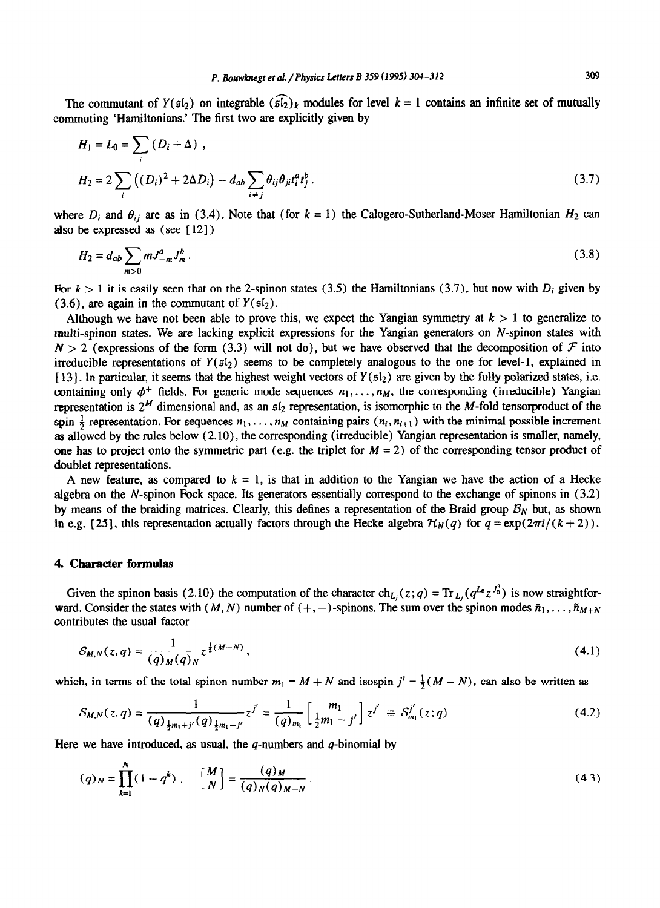The commutant of  $Y(\mathfrak{sl}_2)$  on integrable  $(\mathfrak{sl}_2)_k$  modules for level  $k = 1$  contains an infinite set of mutually commuting 'Hamiltonians.' The first two are explicitly given by

$$
H_1 = L_0 = \sum_{i} (D_i + \Delta) ,
$$
  
\n
$$
H_2 = 2 \sum_{i} ((D_i)^2 + 2\Delta D_i) - d_{ab} \sum_{i \neq j} \theta_{ij} \theta_{ji} t_i^a t_j^b.
$$
\n(3.7)

where  $D_i$  and  $\theta_{ij}$  are as in (3.4). Note that (for  $k = 1$ ) the Calogero-Sutherland-Moser Hamiltonian  $H_2$  can also be expressed as  $(see [12])$ 

$$
H_2 = d_{ab} \sum_{m>0} m J_{-m}^a J_m^b \,. \tag{3.8}
$$

For  $k > 1$  it is easily seen that on the 2-spinon states (3.5) the Hamiltonians (3.7), but now with  $D_i$  given by (3.6), are again in the commutant of  $Y(\mathfrak{sl}_2)$ .

Although we have not been able to prove this, we expect the Yangian symmetry at  $k > 1$  to generalize to multi-spinon states. We are lacking explicit expressions for the Yangian generators on N-spinon states with  $N > 2$  (expressions of the form (3.3) will not do), but we have observed that the decomposition of  $\mathcal F$  into irreducible representations of  $Y(5l_2)$  seems to be completely analogous to the one for level-1, explained in [13]. In particular, it seems that the highest weight vectors of  $Y(5I_2)$  are given by the fully polarized states, i.e. containing only  $\phi^+$  fields. For generic mode sequences  $n_1, \ldots, n_M$ , the corresponding (irreducible) Yangian representation is  $2^M$  dimensional and, as an  $5i_2$  representation, is isomorphic to the M-fold tensorproduct of the spin- $\frac{1}{2}$  representation. For sequences  $n_1, \ldots, n_M$  containing pairs  $(n_i, n_{i+1})$  with the minimal possible increment as allowed by the rules below (2.10), the corresponding (irreducible) Yangian representation is smaller, namely, one has to project onto the symmetric part (e.g. the triplet for  $M = 2$ ) of the corresponding tensor product of doublet representations.

A new feature, as compared to  $k = 1$ , is that in addition to the Yangian we have the action of a Hecke algebra on the N-spinon Fock space. Its generators essentially correspond to the exchange of spinons in (3.2) by means of the braiding matrices. Clearly, this defines a representation of the Braid group  $B_N$  but, as shown in e.g. [25], this representation actually factors through the Hecke algebra  $\mathcal{H}_N(q)$  for  $q = \exp(2\pi i/(k+2))$ .

#### 4. **Character formulas**

Given the spinon basis (2.10) the computation of the character ch<sub>L<sub>i</sub></sub>(z; *q*) = Tr<sub>L<sub>i</sub></sub>( $q^{L_0}z^{J_0^2}$ ) is now straightforward. Consider the states with  $(M, N)$  number of  $(+, -)$ -spinons. The sum over the spinon modes  $\tilde{n}_1, \ldots, \tilde{n}_{M+N}$ contributes the usual factor

$$
S_{M,N}(z,q) = \frac{1}{(q)_M (q)_N} z^{\frac{1}{2}(M-N)},
$$
\n(4.1)

which, in terms of the total spinon number  $m_1 = M + N$  and isospin  $j' = \frac{1}{2}(M - N)$ , can also be written as

$$
S_{M,N}(z,q) = \frac{1}{(q)_{\frac{1}{2}m_1+j'}(q)_{\frac{1}{2}m_1-j'}}z^{j'} = \frac{1}{(q)_{m_1}}\left[\frac{m_1}{\frac{1}{2}m_1-j'}\right]z^{j'} \equiv S_{m_1}^{j'}(z;q).
$$
 (4.2)

Here we have introduced, as usual, the  $q$ -numbers and  $q$ -binomial by

$$
(q)_N = \prod_{k=1}^N (1 - q^k), \quad \left[\begin{array}{c} M \\ N \end{array}\right] = \frac{(q)_M}{(q)_N (q)_{M-N}}.
$$
 (4.3)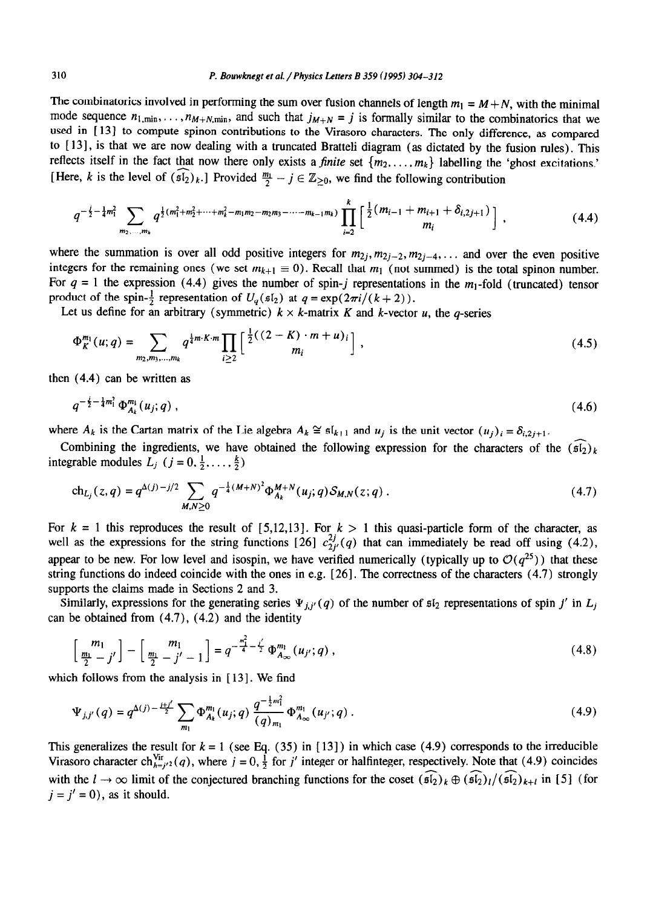The combinatorics involved in performing the sum over fusion channels of length  $m_1 = M+N$ , with the minimal mode sequence  $n_{1,\text{min}}, \ldots, n_{M+N,\text{min}}$ , and such that  $j_{M+N} = j$  is formally similar to the combinatorics that we used in [13] to compute spinon contributions to the Virasoro characters. The only difference, as compared to *[ 131,* is that we are now dealing with a truncated Bratteli diagram (as dictated by the fusion rules). This reflects itself in the fact that now there only exists a *finite* set  $\{m_2, \ldots, m_k\}$  labelling the 'ghost excitations.' Here, k is the level of  $(\mathfrak{sl}_2)_k$ . Provided  $\frac{m_1}{2} - j \in \mathbb{Z}_{\geq 0}$ , we find the following contribution

$$
q^{-\frac{j}{2}-\frac{1}{4}m_1^2}\sum_{m_2,\ldots,m_k}q^{\frac{1}{2}(m_1^2+m_2^2+\cdots+m_k^2-m_1m_2-m_2m_3-\cdots-m_{k-1}m_k)}\prod_{i=2}^k\left[\frac{\frac{1}{2}(m_{i-1}+m_{i+1}+\delta_{i,2j+1})}{m_i}\right],
$$
\n(4.4)

where the summation is over all odd positive integers for  $m_{2j}$ ,  $m_{2j-2}$ ,  $m_{2j-4}$ ,... and over the even positive integers for the remaining ones (we set  $m_{k+1} \equiv 0$ ). Recall that  $m_1$  (not summed) is the total spinon number. For  $q = 1$  the expression (4.4) gives the number of spin-j representations in the  $m_1$ -fold (truncated) tensor product of the spin- $\frac{1}{2}$  representation of  $U_q(\mathfrak{sl}_2)$  at  $q = \exp(2\pi i/(k+2))$ .

Let us define for an arbitrary (symmetric)  $k \times k$ -matrix *K* and *k*-vector *u*, the *q*-series

$$
\Phi_K^{m_1}(u;q) = \sum_{m_2,m_3,\dots,m_k} q^{\frac{1}{4}m \cdot K \cdot m} \prod_{i \geq 2} \left[ \frac{\frac{1}{2}((2-K) \cdot m + u)_i}{m_i} \right],
$$
\n(4.5)

then (4.4) can be written as

$$
q^{-\frac{j}{2}-\frac{1}{4}m_1^2}\,\Phi_{A_k}^{m_1}(u_j;q)\,,\tag{4.6}
$$

where  $A_k$  is the Cartan matrix of the Lie algebra  $A_k \cong \mathfrak{sl}_{k+1}$  and  $u_j$  is the unit vector  $(u_j)_i = \delta_{i,2j+1}$ .

Combining the ingredients, we have obtained the following expression for the characters of the  $(\mathfrak{sl}_2)_k$ integrable modules  $L_j$  ( $j = 0, \frac{1}{2}, \ldots, \frac{k}{2}$ )

$$
\operatorname{ch}_{L_j}(z,q) = q^{\Delta(j)-j/2} \sum_{M,N \ge 0} q^{-\frac{1}{4}(M+N)^2} \Phi_{A_k}^{M+N}(u_j;q) S_{M,N}(z;q) \,. \tag{4.7}
$$

For  $k = 1$  this reproduces the result of [5,12,13]. For  $k > 1$  this quasi-particle form of the character, as well as the expressions for the string functions [26]  $c_{2i'}^{2j}(q)$  that can immediately be read off using (4.2), appear to be new. For low level and isospin, we have verified numerically (typically up to  $O(q^{25})$ ) that these string functions do indeed coincide with the ones in e.g. [26]. The correctness of the characters  $(4.7)$  strongly supports the claims made in Sections 2 and 3.

Similarly, expressions for the generating series  $\Psi_{j,j'}(q)$  of the number of  $\mathfrak{sl}_2$  representations of spin j' in  $L_j$ can be obtained from (4.7), (4.2) and the identity

$$
\begin{bmatrix} m_1 \\ \frac{m_1}{2} - j' \end{bmatrix} - \begin{bmatrix} m_1 \\ \frac{m_1}{2} - j' - 1 \end{bmatrix} = q^{-\frac{m_1^2}{4} - \frac{j'}{2}} \Phi_{A_{\infty}}^{m_1}(u_{j'}; q) , \qquad (4.8)
$$

which follows from the analysis in  $[13]$ . We find

$$
\Psi_{j,j'}(q) = q^{\Delta(j) - \frac{j+j'}{2}} \sum_{m_1} \Phi_{A_k}^{m_1}(u_j; q) \, \frac{q^{-\frac{1}{2}m_1^2}}{(q)_{m_1}} \Phi_{A_{\infty}}^{m_1}(u_{j'}; q) \,. \tag{4.9}
$$

This generalizes the result for  $k = 1$  (see Eq. (35) in [13]) in which case (4.9) corresponds to the irreducible Virasoro character ch<sup>Vir</sup><sub> $h= i/2$ </sub> (q), where  $j = 0$ ,  $\frac{1}{2}$  for j' integer or halfinteger, respectively. Note that (4.9) coincides with the  $l \to \infty$  limit of the conjectured branching functions for the coset  $(\widehat{\mathfrak{sl}_2})_k \oplus (\widehat{\mathfrak{sl}_2})_l/(\widehat{\mathfrak{sl}_2})_{k+l}$  in [5] (for  $j = j' = 0$ , as it should.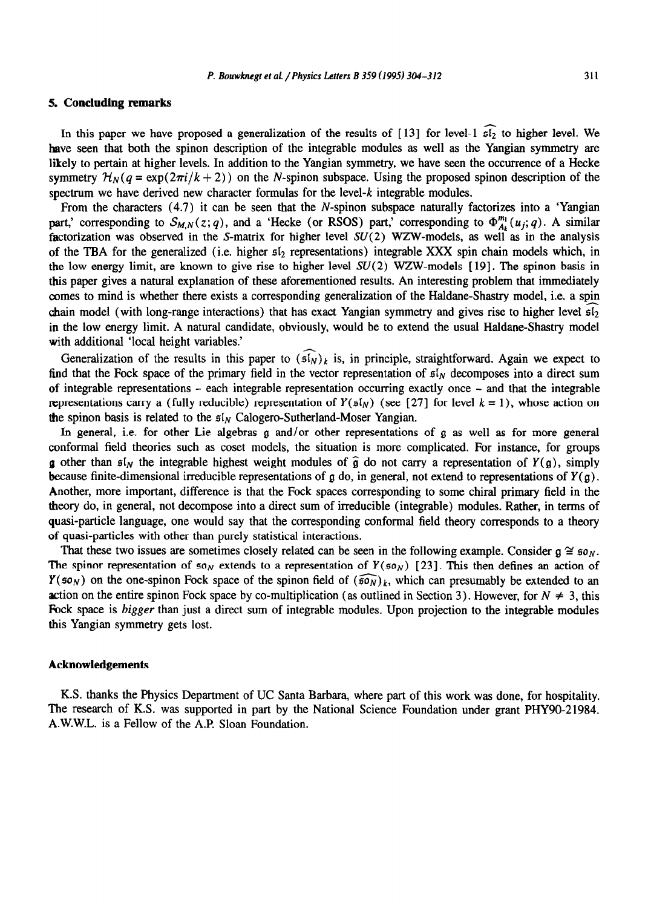#### **5. Concluding remarks**

In this paper we have proposed a generalization of the results of [13] for level-1  $\widehat{\mathfrak{sl}_2}$  to higher level. We have seen that both the spinon description of the integrable modules as well as the Yangian symmetry are **likely** to pertain at higher levels. In addition to the Yangian symmetry, we have seen the occurrence of a Hecke symmetry  $\mathcal{H}_N(q = \exp(2\pi i/k + 2))$  on the N-spinon subspace. Using the proposed spinon description of the spectrum we have derived new character formulas for the level-k integrable modules.

From the characters (4.7) it can be seen that the N-spinon subspace naturally factorizes into a 'Yangian part,' corresponding to  $S_{M,N}(z;q)$ , and a 'Hecke (or RSOS) part,' corresponding to  $\Phi_{A_k}^{m_1}(u_j;q)$ . A similar factorization was observed in the S-matrix for higher level  $SU(2)$  WZW-models, as well as in the analysis of the TBA for the generalized (i.e. higher  $sI_2$  representations) integrable XXX spin chain models which, in the low energy limit, are known to give rise to higher level  $SU(2)$  WZW-models [19]. The spinon basis in this paper gives a natural explanation of these aforementioned results. An interesting problem that immediately comes to mind is whether there exists a corresponding generalization of the Haldane-Shastry model, i.e. a spin chain model (with long-range interactions) that has exact Yangian symmetry and gives rise to higher level  $\mathfrak{sl}_2$ in the low energy limit. A natural candidate, obviously, would be to extend the usual Haldane-Shastry model with additional 'local height variables.'

Generalization of the results in this paper to  $(\overline{s}I_N)_k$  is, in principle, straightforward. Again we expect to find that the Fock space of the primary field in the vector representation of  $sI_N$  decomposes into a direct sum of integrable representations - each integrable representation occurring exactly once - and that the integrable representations carry a (fully reducible) representation of  $Y(\mathfrak{sl}_N)$  (see [27] for level  $k = 1$ ), whose action on the spinon basis is related to the  $\mathfrak{sl}_N$  Calogero-Sutherland-Moser Yangian.

In general, i.e. for other Lie algebras g and/or other representations of g as well as for more general conformal field theories such as coset models, the situation is more complicated. For instance, for groups g other than  $\mathfrak{sl}_N$  the integrable highest weight modules of  $\widehat{\mathfrak{g}}$  do not carry a representation of  $Y(\mathfrak{g})$ , simply because finite-dimensional irreducible representations of g do, in general, not extend to representations of  $Y(g)$ . Another, more important, difference is that the Fock spaces corresponding to some chiral primary field in the theory do, in general, not decompose into a direct sum of irreducible (integrable) modules. Rather, in terms of quasi-particle language, one would say that the corresponding conformal field theory corresponds to a theory of quasi-particles with other than purely statistical interactions.

That these two issues are sometimes closely related can be seen in the following example. Consider  $g \cong g \circ N$ . The spinor representation of  $\mathfrak{so}_N$  extends to a representation of  $Y(\mathfrak{so}_N)$  [23]. This then defines an action of  $Y(\epsilon \sigma_N)$  on the one-spinon Fock space of the spinon field of  $(\epsilon \sigma_N)_k$ , which can presumably be extended to an action on the entire spinon Fock space by co-multiplication (as outlined in Section 3). However, for  $N \neq 3$ , this Fock space is *bigger* than just a direct sum of integrable modules. Upon projection to the integrable modules this Yangian symmetry gets lost.

#### **Acknowledgements**

K.S. thanks the Physics Department of UC Santa Barbara, where part of this work was done, for hospitality. The research of K.S. was supported in part by the National Science Foundation under grant PHY90-21984. A.W.W.L. is a Fellow of the A.P. Sloan Foundation.